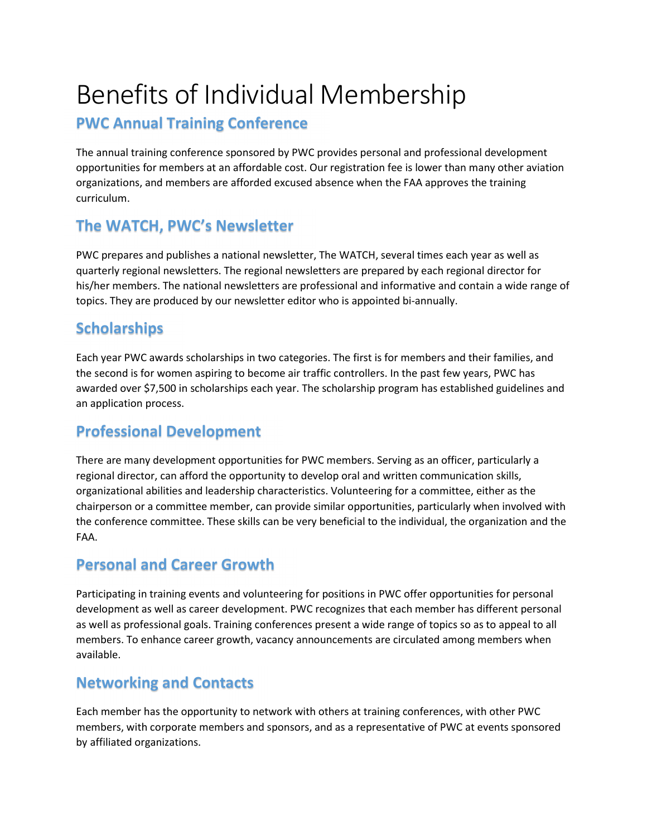# Benefits of Individual Membership

### PWC Annual Training Conference

The annual training conference sponsored by PWC provides personal and professional development opportunities for members at an affordable cost. Our registration fee is lower than many other aviation organizations, and members are afforded excused absence when the FAA approves the training curriculum.

## The WATCH, PWC's Newsletter

PWC prepares and publishes a national newsletter, The WATCH, several times each year as well as quarterly regional newsletters. The regional newsletters are prepared by each regional director for his/her members. The national newsletters are professional and informative and contain a wide range of topics. They are produced by our newsletter editor who is appointed bi-annually.

### **Scholarships**

Each year PWC awards scholarships in two categories. The first is for members and their families, and the second is for women aspiring to become air traffic controllers. In the past few years, PWC has awarded over \$7,500 in scholarships each year. The scholarship program has established guidelines and an application process.

### Professional Development

There are many development opportunities for PWC members. Serving as an officer, particularly a regional director, can afford the opportunity to develop oral and written communication skills, organizational abilities and leadership characteristics. Volunteering for a committee, either as the chairperson or a committee member, can provide similar opportunities, particularly when involved with the conference committee. These skills can be very beneficial to the individual, the organization and the FAA.

### Personal and Career Growth

Participating in training events and volunteering for positions in PWC offer opportunities for personal development as well as career development. PWC recognizes that each member has different personal as well as professional goals. Training conferences present a wide range of topics so as to appeal to all members. To enhance career growth, vacancy announcements are circulated among members when available.

### Networking and Contacts

Each member has the opportunity to network with others at training conferences, with other PWC members, with corporate members and sponsors, and as a representative of PWC at events sponsored by affiliated organizations.